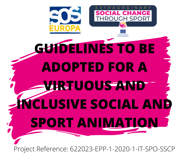

Project Reference: 622023-EPP-1-2020-1-IT-SPO-SSCP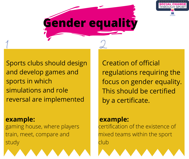

## **Gender equality**

Sports clubs should design and develop games and sports in which simulations and role reversal are implemented

**example: example:** [gaming](https://en.wikipedia.org/wiki/Gaming_house) house, where players train, meet, compare and study

Creation of official regulations requiring the focus on gender equality. This should be certified by a certificate.

certification of the existence of mixed teams within the sport club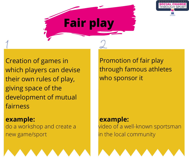

**Fair play**

Creation of games in which players can devise their own rules of play, giving space of the development of mutual fairness

**example: example:** do a workshop and create a new [game/sport](https://en.wikipedia.org/wiki/Gaming_house)

Promotion of fair play through famous athletes who sponsor it

video of a well-known sportsman in the local community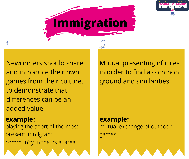

# **Immigration**

Newcomers should share and introduce their own games from their culture, to demonstrate that differences can be an added value

**example: example:** playing the sport of the most present immigrant community in the local area

Mutual presenting of rules, in order to find a common ground and similarities

mutual exchange of outdoor games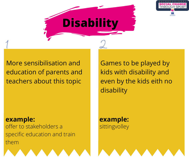

### More sensibilisation and education of parents and teachers about this topic

**example: example:** offer to stakeholders a specific education and train them

Games to be played by kids with disability and even by the kids eith no disability

sittingvolley

**Disability**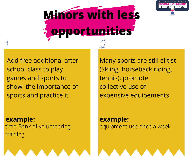



Add free additional afterschool class to play games and sports to show the importance of sports and practice it

**example: example:** time-Bank of volunteering training

Many sports are still elitist (Skiing, horseback riding, tennis): promote collective use of expensive equipements

equipment use once a week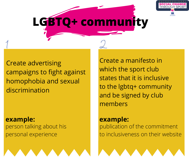

### **LGBTQ+ community**

Create advertising campaigns to fight against homophobia and sexual discrimination

**example: example:** person talking about his personal experience

Create a manifesto in which the sport club states that it is inclusive to the lgbtq+ community and be signed by club members

publication of the commitment to inclusiveness on their website